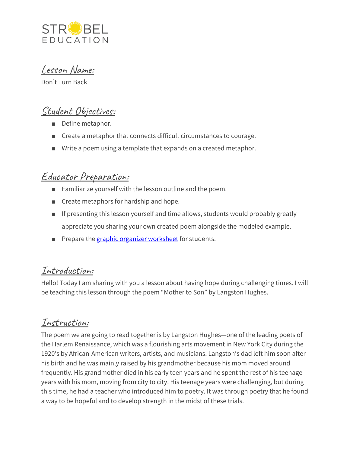

Lesson Name:

Don't Turn Back

# Student Objectives:

- Define metaphor.
- Create a metaphor that connects difficult circumstances to courage.
- Write a poem using a template that expands on a created metaphor.

# Educator Preparation:

- Familiarize yourself with the lesson outline and the poem.
- Create metaphors for hardship and hope.
- If presenting this lesson yourself and time allows, students would probably greatly appreciate you sharing your own created poem alongside the modeled example.
- Prepare the graphic organizer [worksheet](https://docs.google.com/document/d/18DmwgPEKJ-hKNydH0VlHmkR-WCLPtZC-ty7-RCdOHHY/edit?usp=sharing) for students.

## Introduction:

Hello! Today I am sharing with you a lesson about having hope during challenging times. I will be teaching this lesson through the poem "Mother to Son" by Langston Hughes.

# Instruction:

The poem we are going to read together is by Langston Hughes—one of the leading poets of the Harlem Renaissance, which was a flourishing arts movement in New York City during the 1920's by African-American writers, artists, and musicians. Langston's dad left him soon after his birth and he was mainly raised by his grandmother because his mom moved around frequently. His grandmother died in his early teen years and he spent the rest of his teenage years with his mom, moving from city to city. His teenage years were challenging, but during this time, he had a teacher who introduced him to poetry. It was through poetry that he found a way to be hopeful and to develop strength in the midst of these trials.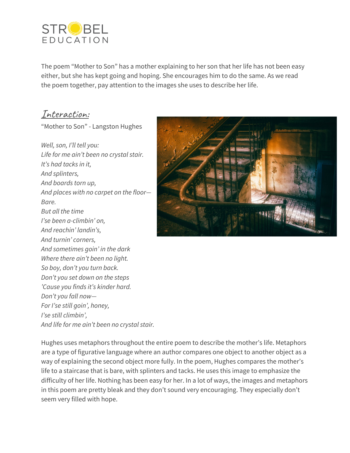

The poem "Mother to Son" has a mother explaining to her son that her life has not been easy either, but she has kept going and hoping. She encourages him to do the same. As we read the poem together, pay attention to the images she uses to describe her life.

#### Interaction:

"Mother to Son" - Langston Hughes

*Well, son, I'll tell you: Life for me ain't been no crystal stair. It's had tacks in it, And splinters, And boards torn up, And places with no carpet on the floor— Bare. But all the time I'se been a-climbin' on, And reachin' landin's, And turnin' corners, And sometimes goin' in the dark Where there ain't been no light. So boy, don't you turn back. Don't you set down on the steps 'Cause you finds it's kinder hard. Don't you fall now— For I'se still goin', honey, I'se still climbin', And life for me ain't been no crystal stair.*



Hughes uses metaphors throughout the entire poem to describe the mother's life. Metaphors are a type of figurative language where an author compares one object to another object as a way of explaining the second object more fully. In the poem, Hughes compares the mother's life to a staircase that is bare, with splinters and tacks. He uses this image to emphasize the difficulty of her life. Nothing has been easy for her. In a lot of ways, the images and metaphors in this poem are pretty bleak and they don't sound very encouraging. They especially don't seem very filled with hope.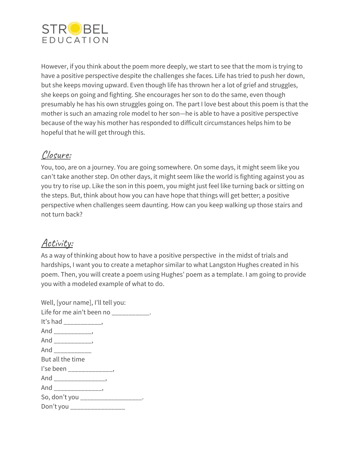

However, if you think about the poem more deeply, we start to see that the mom is trying to have a positive perspective despite the challenges she faces. Life has tried to push her down, but she keeps moving upward. Even though life has thrown her a lot of grief and struggles, she keeps on going and fighting. She encourages her son to do the same, even though presumably he has his own struggles going on. The part I love best about this poem is that the mother is such an amazing role model to her son—he is able to have a positive perspective because of the way his mother has responded to difficult circumstances helps him to be hopeful that he will get through this.

## Closure:

You, too, are on a journey. You are going somewhere. On some days, it might seem like you can't take another step. On other days, it might seem like the world is fighting against you as you try to rise up. Like the son in this poem, you might just feel like turning back or sitting on the steps. But, think about how you can have hope that things will get better; a positive perspective when challenges seem daunting. How can you keep walking up those stairs and not turn back?

# Activity:

As a way of thinking about how to have a positive perspective in the midst of trials and hardships, I want you to create a metaphor similar to what Langston Hughes created in his poem. Then, you will create a poem using Hughes' poem as a template. I am going to provide you with a modeled example of what to do.